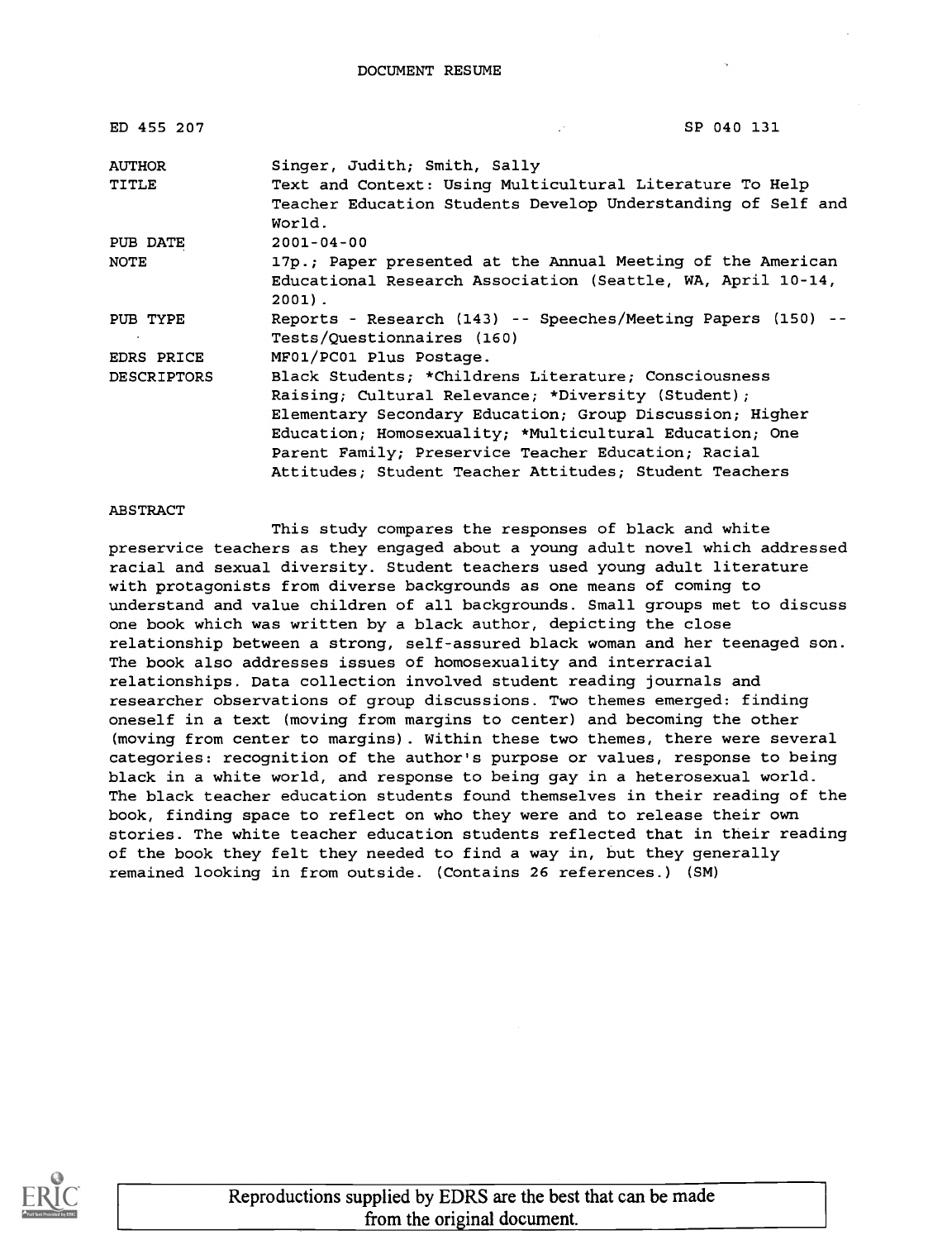| ED 455 207         | SP 040 131                                                             |
|--------------------|------------------------------------------------------------------------|
| <b>AUTHOR</b>      | Singer, Judith; Smith, Sally                                           |
| TITLE              | Text and Context: Using Multicultural Literature To Help               |
|                    | Teacher Education Students Develop Understanding of Self and<br>World. |
| PUB DATE           | $2001 - 04 - 00$                                                       |
| NOTE               | 17p.; Paper presented at the Annual Meeting of the American            |
|                    | Educational Research Association (Seattle, WA, April 10-14,            |
|                    | $2001$ .                                                               |
| PUB TYPE           | Reports - Research (143) -- Speeches/Meeting Papers (150) --           |
|                    | Tests/Questionnaires (160)                                             |
| EDRS PRICE         | MF01/PC01 Plus Postage.                                                |
| <b>DESCRIPTORS</b> | Black Students; *Childrens Literature; Consciousness                   |
|                    | Raising; Cultural Relevance; *Diversity (Student);                     |
|                    | Elementary Secondary Education; Group Discussion; Higher               |
|                    | Education; Homosexuality; *Multicultural Education; One                |
|                    | Parent Family; Preservice Teacher Education; Racial                    |
|                    | Attitudes; Student Teacher Attitudes; Student Teachers                 |

#### ABSTRACT

This study compares the responses of black and white preservice teachers as they engaged about a young adult novel which addressed racial and sexual diversity. Student teachers used young adult literature with protagonists from diverse backgrounds as one means of coming to understand and value children of all backgrounds. Small groups met to discuss one book which was written by a black author, depicting the close relationship between a strong, self-assured black woman and her teenaged son. The book also addresses issues of homosexuality and interracial relationships. Data collection involved student reading journals and researcher observations of group discussions. Two themes emerged: finding oneself in a text (moving from margins to center) and becoming the other (moving from center to margins). Within these two themes, there were several categories: recognition of the author's purpose or values, response to being black in a white world, and response to being gay in a heterosexual world. The black teacher education students found themselves in their reading of the book, finding space to reflect on who they were and to release their own stories. The white teacher education students reflected that in their reading of the book they felt they needed to find a way in, but they generally remained looking in from outside. (Contains 26 references.) (SM)

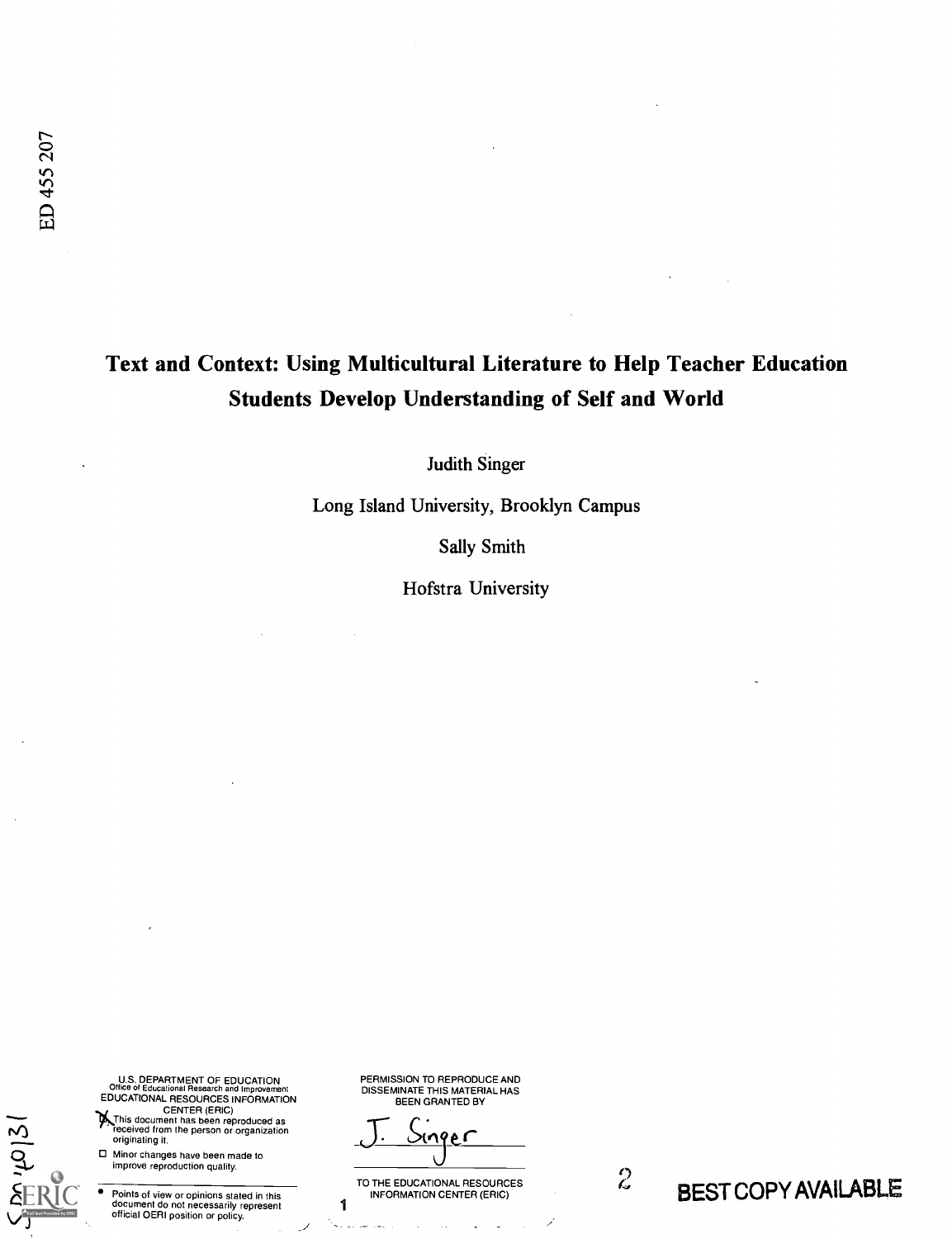## Text and Context: Using Multicultural Literature to Help Teacher Education Students Develop Understanding of Self and World

Judith Singer

Long Island University, Brooklyn Campus

Sally Smith

Hofstra University

U.S. DEPARTMENT OF EDUCATION Office of Educational Research and Improvement

EDUCATIONAL RESOURCES INFORMATION<br>CENTER (ERIC)<br>This document has been reproduced as<br>received from the person or organization originating it.

Minor changes have been made to improve reproduction quality.

 $2121$ 

Points of view or opinions stated in this document do not necessarily represent official OERI position or policy.

PERMISSION TO REPRODUCE AND DISSEMINATE THIS MATERIAL HAS BEEN GRANTED BY

م م

1

المعارضين للمرابعة

TO THE EDUCATIONAL RESOURCES<br>INFORMATION CENTER (ERIC)

 $\ddot{\phantom{a}}$  $\sim$ 

Ì

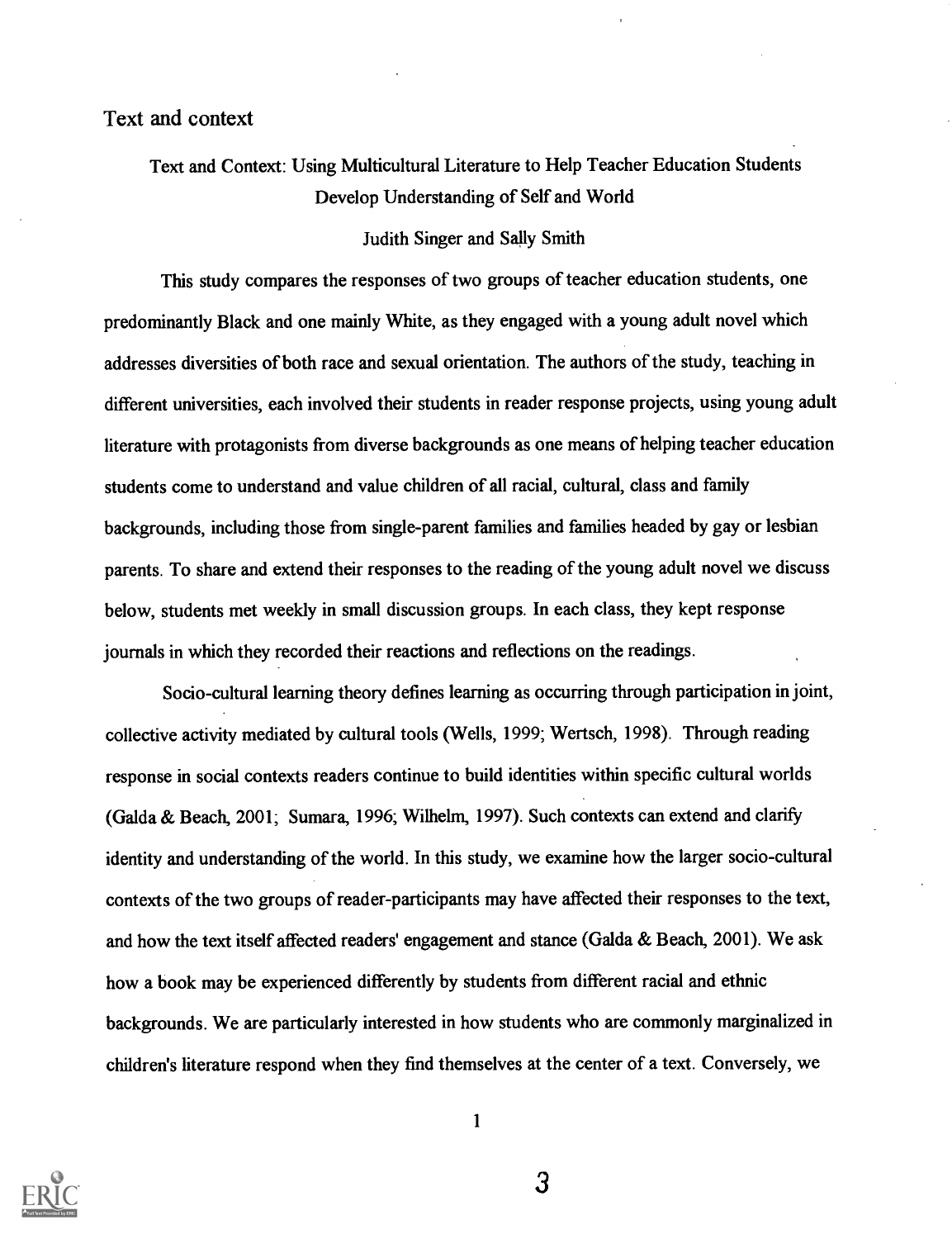Text and Context: Using Multicultural Literature to Help Teacher Education Students Develop Understanding of Self and World

#### Judith Singer and Sally Smith

This study compares the responses of two groups of teacher education students, one predominantly Black and one mainly White, as they engaged with a young adult novel which addresses diversities of both race and sexual orientation. The authors of the study, teaching in different universities, each involved their students in reader response projects, using young adult literature with protagonists from diverse backgrounds as one means of helping teacher education students come to understand and value children of all racial, cultural, class and family backgrounds, including those from single-parent families and families headed by gay or lesbian parents. To share and extend their responses to the reading of the young adult novel we discuss below, students met weekly in small discussion groups. In each class, they kept response journals in which they recorded their reactions and reflections on the readings.

Socio-cultural learning theory defines learning as occurring through participation in joint, collective activity mediated by cultural tools (Wells, 1999; Wertsch, 1998). Through reading response in social contexts readers continue to build identities within specific cultural worlds (Galda & Beach, 2001; Sumara, 1996; Wilhelm, 1997). Such contexts can extend and clarify identity and understanding of the world. In this study, we examine how the larger socio-cultural contexts of the two groups of reader-participants may have affected their responses to the text, and how the text itself affected readers' engagement and stance (Galda & Beach, 2001). We ask how a book may be experienced differently by students from different racial and ethnic backgrounds. We are particularly interested in how students who are commonly marginalized in children's literature respond when they find themselves at the center of a text. Conversely, we



1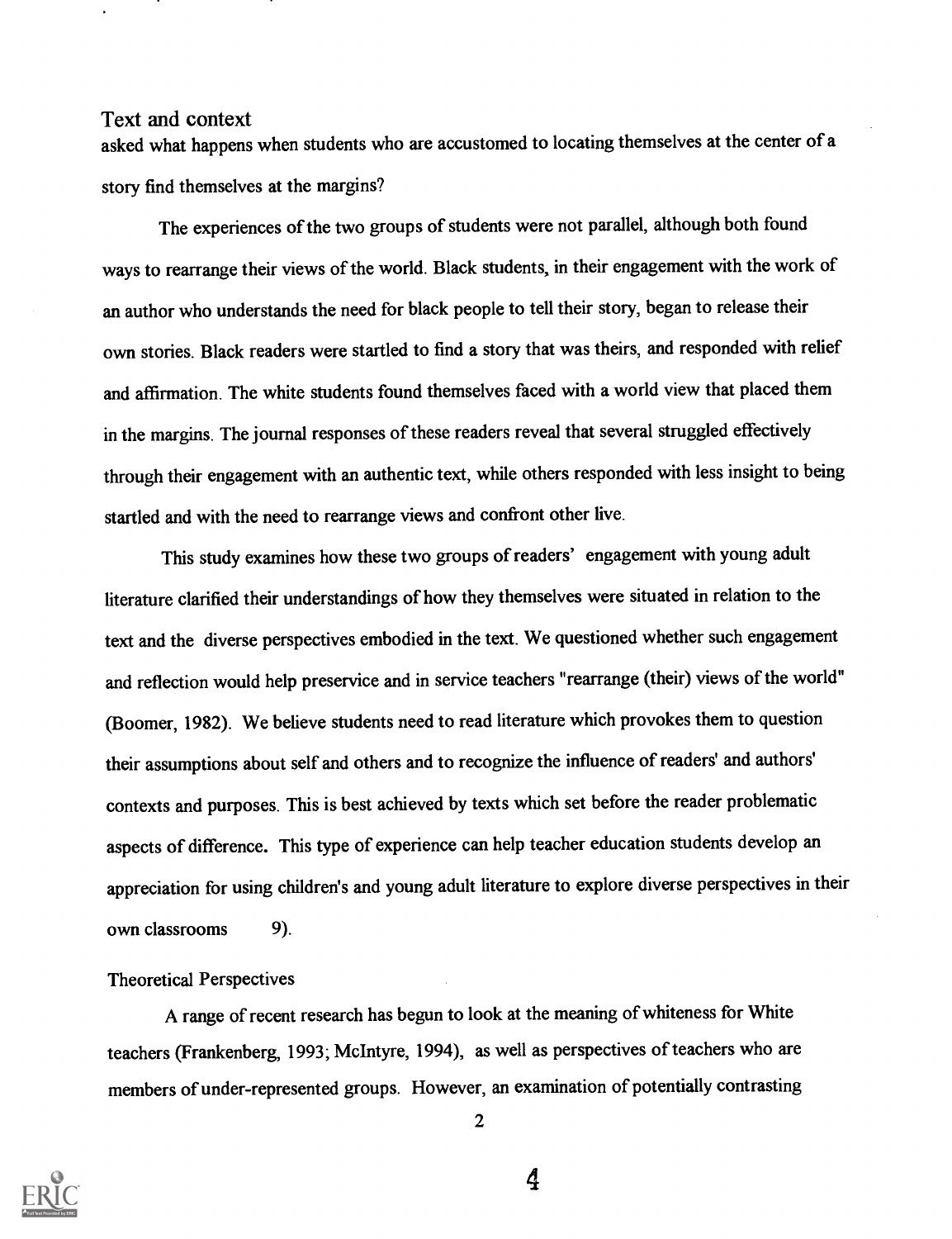asked what happens when students who are accustomed to locating themselves at the center of a story find themselves at the margins?

The experiences of the two groups of students were not parallel, although both found ways to rearrange their views of the world. Black students, in their engagement with the work of an author who understands the need for black people to tell their story, began to release their own stories. Black readers were startled to find a story that was theirs, and responded with relief and affirmation. The white students found themselves faced with a world view that placed them in the margins. The journal responses of these readers reveal that several struggled effectively through their engagement with an authentic text, while others responded with less insight to being startled and with the need to rearrange views and confront other live.

This study examines how these two groups of readers' engagement with young adult literature clarified their understandings of how they themselves were situated in relation to the text and the diverse perspectives embodied in the text. We questioned whether such engagement and reflection would help preservice and in service teachers "rearrange (their) views of the world" (Boomer, 1982). We believe students need to read literature which provokes them to question their assumptions about self and others and to recognize the influence of readers' and authors' contexts and purposes. This is best achieved by texts which set before the reader problematic aspects of difference. This type of experience can help teacher education students develop an appreciation for using children's and young adult literature to explore diverse perspectives in their own classrooms 9).

#### Theoretical Perspectives

A range of recent research has begun to look at the meaning of whiteness for White teachers (Frankenberg, 1993; McIntyre, 1994), as well as perspectives of teachers who are members of under-represented groups. However, an examination of potentially contrasting



2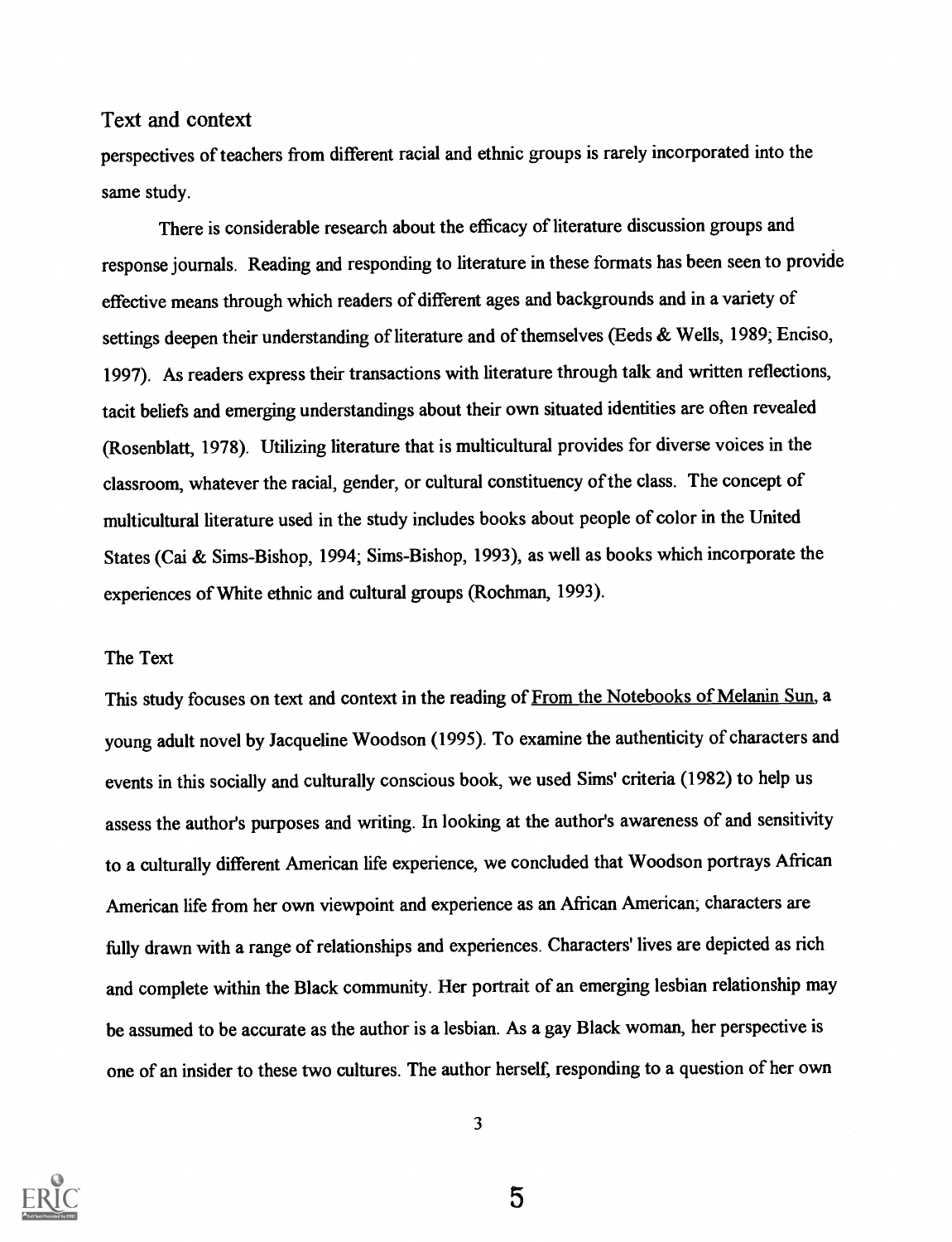perspectives of teachers from different racial and ethnic groups is rarely incorporated into the same study.

There is considerable research about the efficacy of literature discussion groups and response journals. Reading and responding to literature in these formats has been seen to provide effective means through which readers of different ages and backgrounds and in a variety of settings deepen their understanding of literature and of themselves (Eeds & Wells, 1989; Enciso, 1997). As readers express their transactions with literature through talk and written reflections, tacit beliefs and emerging understandings about their own situated identities are often revealed (Rosenblatt, 1978). Utilizing literature that is multicultural provides for diverse voices in the classroom, whatever the racial, gender, or cultural constituency of the class. The concept of multicultural literature used in the study includes books about people of color in the United States (Cai & Sims-Bishop, 1994; Sims-Bishop, 1993), as well as books which incorporate the experiences of White ethnic and cultural groups (Rochman, 1993).

## The Text

This study focuses on text and context in the reading of From the Notebooks of Melanin Sun, a young adult novel by Jacqueline Woodson (1995). To examine the authenticity of characters and events in this socially and culturally conscious book, we used Sims' criteria (1982) to help us assess the author's purposes and writing. In looking at the author's awareness of and sensitivity to a culturally different American life experience, we concluded that Woodson portrays African American life from her own viewpoint and experience as an African American; characters are fully drawn with a range of relationships and experiences. Characters' lives are depicted as rich and complete within the Black community. Her portrait of an emerging lesbian relationship may be assumed to be accurate as the author is a lesbian. As a gay Black woman, her perspective is one of an insider to these two cultures. The author herself, responding to a question of her own



3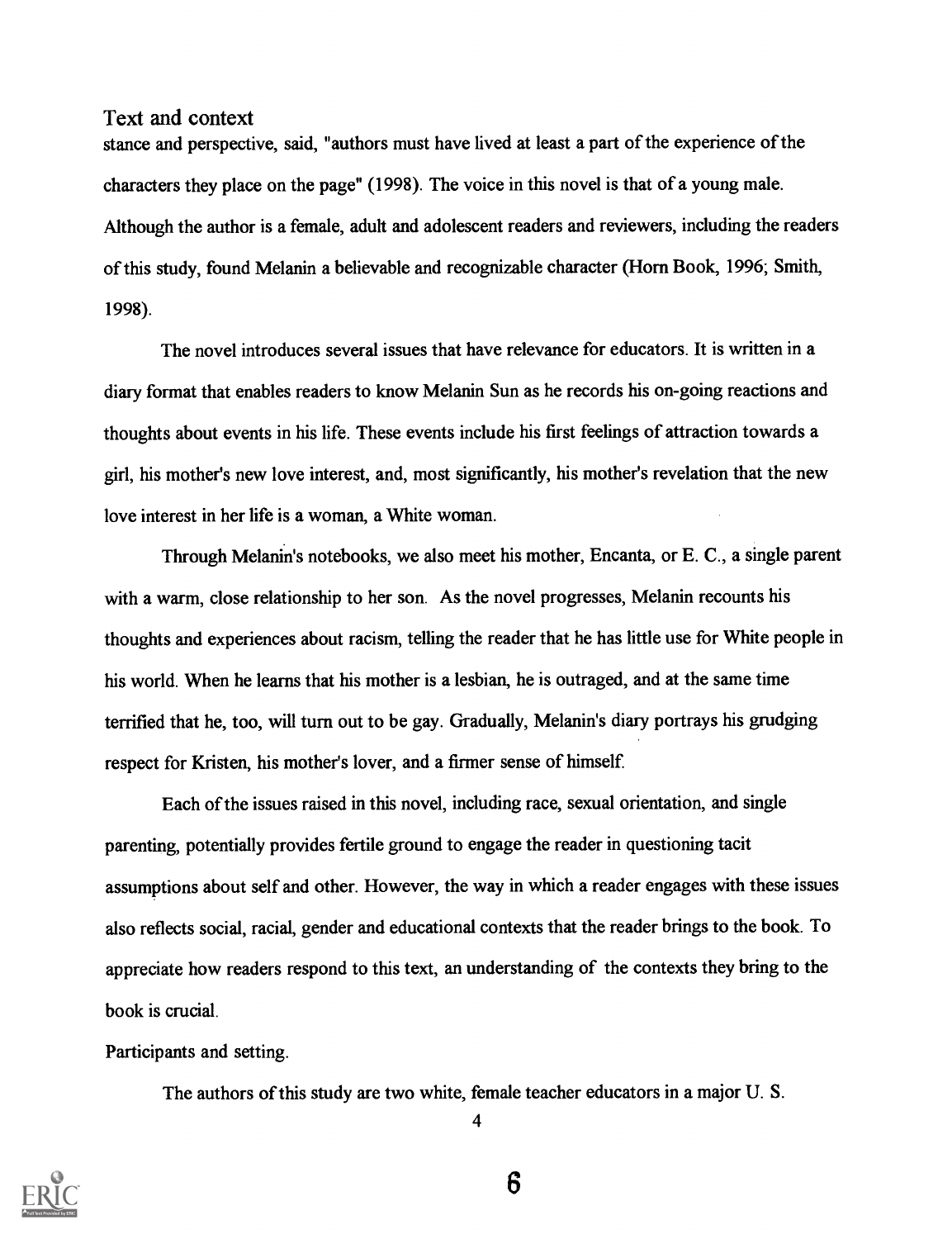stance and perspective, said, "authors must have lived at least a part of the experience of the characters they place on the page" (1998). The voice in this novel is that of a young male. Although the author is a female, adult and adolescent readers and reviewers, including the readers of this study, found Melanin a believable and recognizable character (Horn Book, 1996; Smith, 1998).

The novel introduces several issues that have relevance for educators. It is written in a diary format that enables readers to know Melanin Sun as he records his on-going reactions and thoughts about events in his life. These events include his first feelings of attraction towards a girl, his mother's new love interest, and, most significantly, his mother's revelation that the new love interest in her life is a woman, a White woman.

Through Melanin's notebooks, we also meet his mother, Encanta, or E. C., a single parent with a warm, close relationship to her son. As the novel progresses, Melanin recounts his thoughts and experiences about racism, telling the reader that he has little use for White people in his world. When he learns that his mother is a lesbian, he is outraged, and at the same time terrified that he, too, will turn out to be gay. Gradually, Melanin's diary portrays his grudging respect for Kristen, his mother's lover, and a firmer sense of himself.

Each of the issues raised in this novel, including race, sexual orientation, and single parenting, potentially provides fertile ground to engage the reader in questioning tacit assumptions about self and other. However, the way in which a reader engages with these issues also reflects social, racial, gender and educational contexts that the reader brings to the book. To appreciate how readers respond to this text, an understanding of the contexts they bring to the book is crucial.

## Participants and setting.

The authors of this study are two white, female teacher educators in a major U. S.



4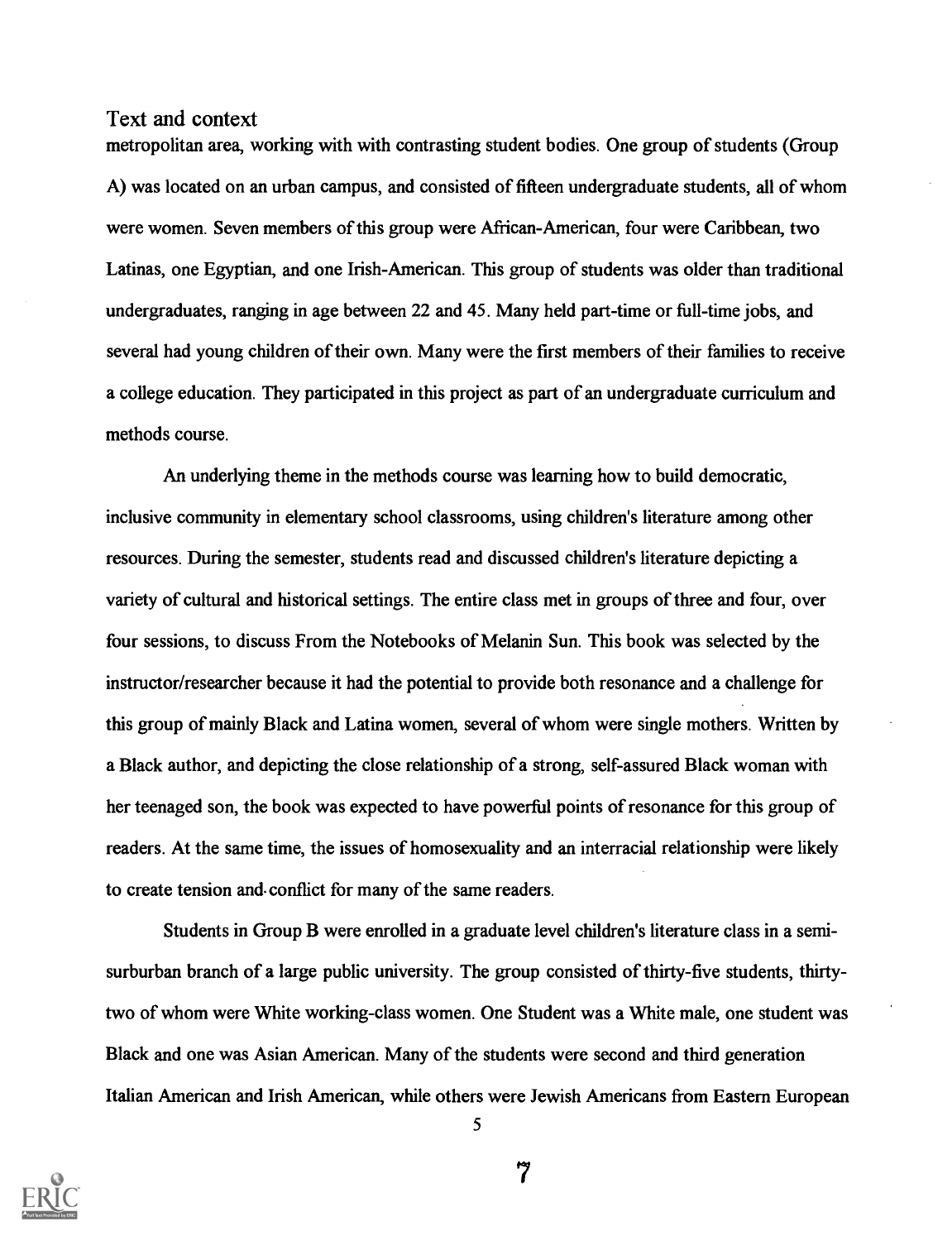metropolitan area, working with with contrasting student bodies. One group of students (Group A) was located on an urban campus, and consisted of fifteen undergraduate students, all of whom were women. Seven members of this group were African-American, four were Caribbean, two Latinas, one Egyptian, and one Irish-American. This group of students was older than traditional undergraduates, ranging in age between 22 and 45. Many held part-time or full-time jobs, and several had young children of their own. Many were the first members of their families to receive a college education. They participated in this project as part of an undergraduate curriculum and methods course.

An underlying theme in the methods course was learning how to build democratic, inclusive community in elementary school classrooms, using children's literature among other resources. During the semester, students read and discussed children's literature depicting a variety of cultural and historical settings. The entire class met in groups of three and four, over four sessions, to discuss From the Notebooks of Melanin Sun. This book was selected by the instructor/researcher because it had the potential to provide both resonance and a challenge for this group of mainly Black and Latina women, several of whom were single mothers. Written by a Black author, and depicting the close relationship of a strong, self-assured Black woman with her teenaged son, the book was expected to have powerful points of resonance for this group of readers. At the same time, the issues of homosexuality and an interracial relationship were likely to create tension and. conflict for many of the same readers.

Students in Group B were enrolled in a graduate level children's literature class in a semisurburban branch of a large public university. The group consisted of thirty-five students, thirtytwo of whom were White working-class women. One Student was a White male, one student was Black and one was Asian American. Many of the students were second and third generation Italian American and Irish American, while others were Jewish Americans from Eastern European



5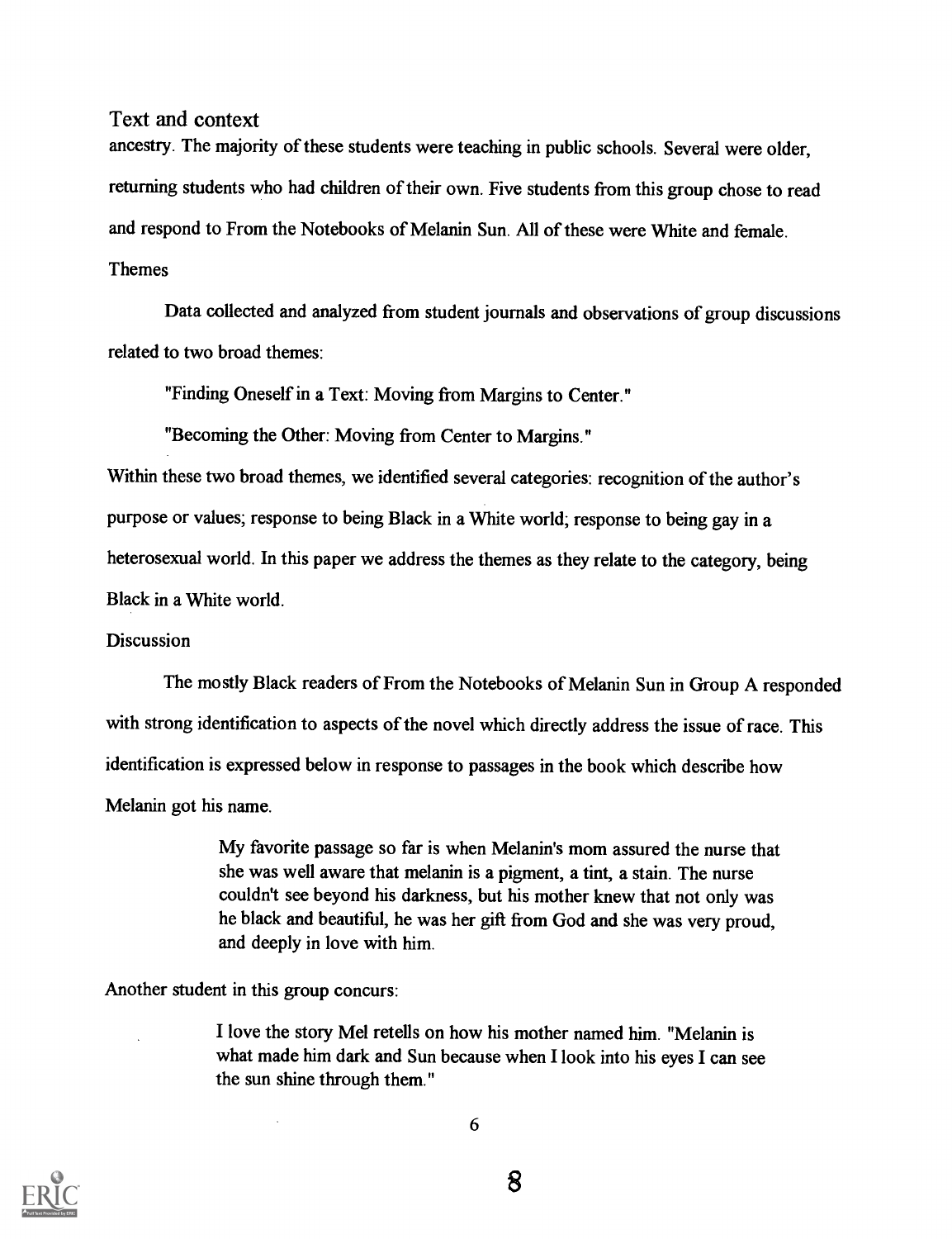ancestry. The majority of these students were teaching in public schools. Several were older, returning students who had children of their own. Five students from this group chose to read and respond to From the Notebooks of Melanin Sun. All of these were White and female. Themes

Data collected and analyzed from student journals and observations of group discussions related to two broad themes:

"Finding Oneself in a Text: Moving from Margins to Center."

"Becoming the Other: Moving from Center to Margins."

Within these two broad themes, we identified several categories: recognition of the author's purpose or values; response to being Black in a White world; response to being gay in a heterosexual world. In this paper we address the themes as they relate to the category, being Black in a White world.

#### Discussion

The mostly Black readers of From the Notebooks of Melanin Sun in Group A responded with strong identification to aspects of the novel which directly address the issue of race. This identification is expressed below in response to passages in the book which describe how Melanin got his name.

> My favorite passage so far is when Melanin's mom assured the nurse that she was well aware that melanin is a pigment, a tint, a stain. The nurse couldn't see beyond his darkness, but his mother knew that not only was he black and beautiful, he was her gift from God and she was very proud, and deeply in love with him.

Another student in this group concurs:

I love the story Mel retells on how his mother named him. "Melanin is what made him dark and Sun because when I look into his eyes I can see the sun shine through them."

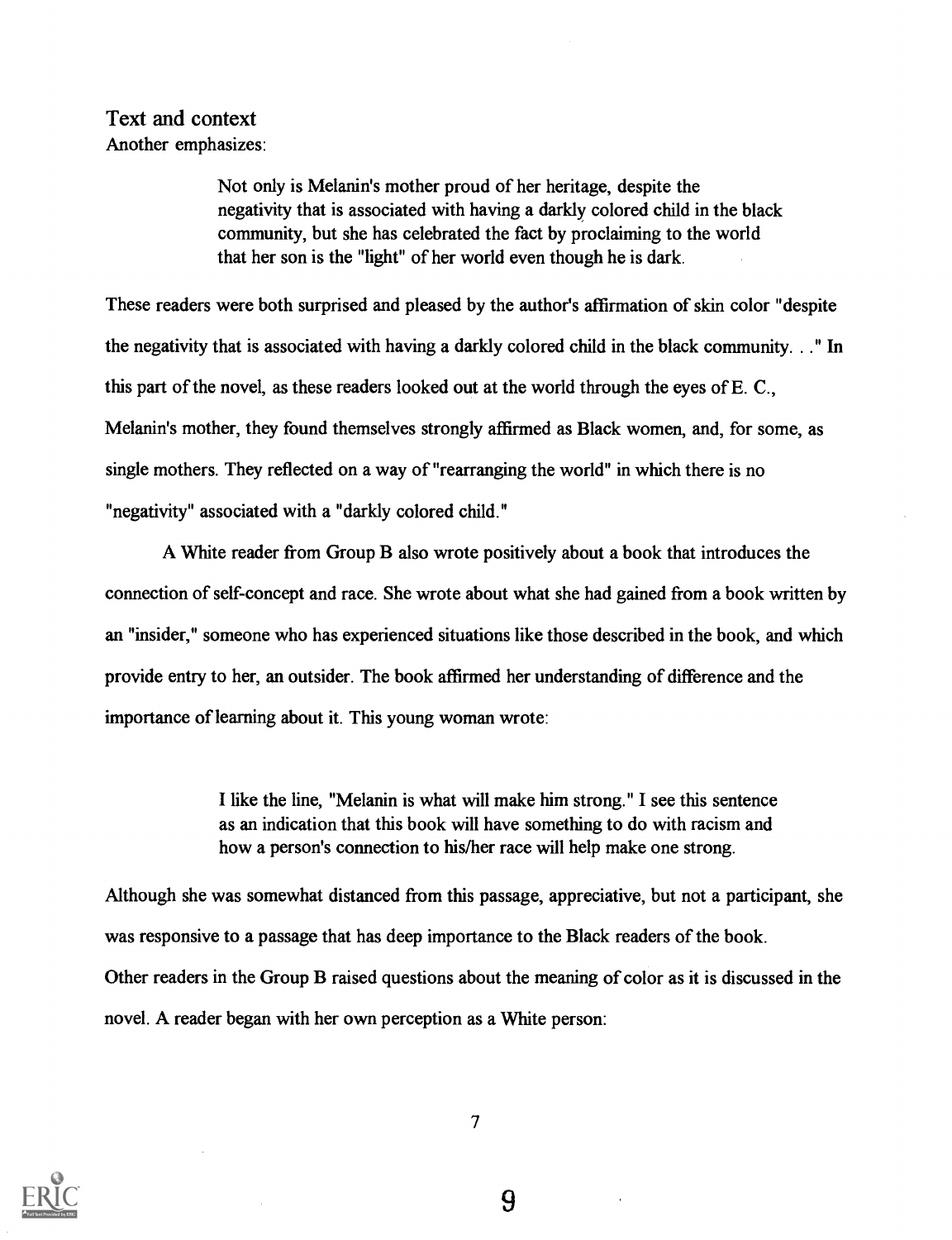## Text and context Another emphasizes:

Not only is Melanin's mother proud of her heritage, despite the negativity that is associated with having a darkly colored child in the black community, but she has celebrated the fact by proclaiming to the world that her son is the "light" of her world even though he is dark.

These readers were both surprised and pleased by the author's affirmation of skin color "despite the negativity that is associated with having a darkly colored child in the black community. . ." In this part of the novel, as these readers looked out at the world through the eyes of E. C., Melanin's mother, they found themselves strongly affirmed as Black women, and, for some, as single mothers. They reflected on a way of "rearranging the world" in which there is no "negativity" associated with a "darkly colored child."

A White reader from Group B also wrote positively about a book that introduces the connection of self-concept and race. She wrote about what she had gained from a book written by an "insider," someone who has experienced situations like those described in the book, and which provide entry to her, an outsider. The book affirmed her understanding of difference and the importance of learning about it. This young woman wrote:

> I like the line, "Melanin is what will make him strong." I see this sentence as an indication that this book will have something to do with racism and how a person's connection to his/her race will help make one strong.

Although she was somewhat distanced from this passage, appreciative, but not a participant, she was responsive to a passage that has deep importance to the Black readers of the book. Other readers in the Group B raised questions about the meaning of color as it is discussed in the novel. A reader began with her own perception as a White person:

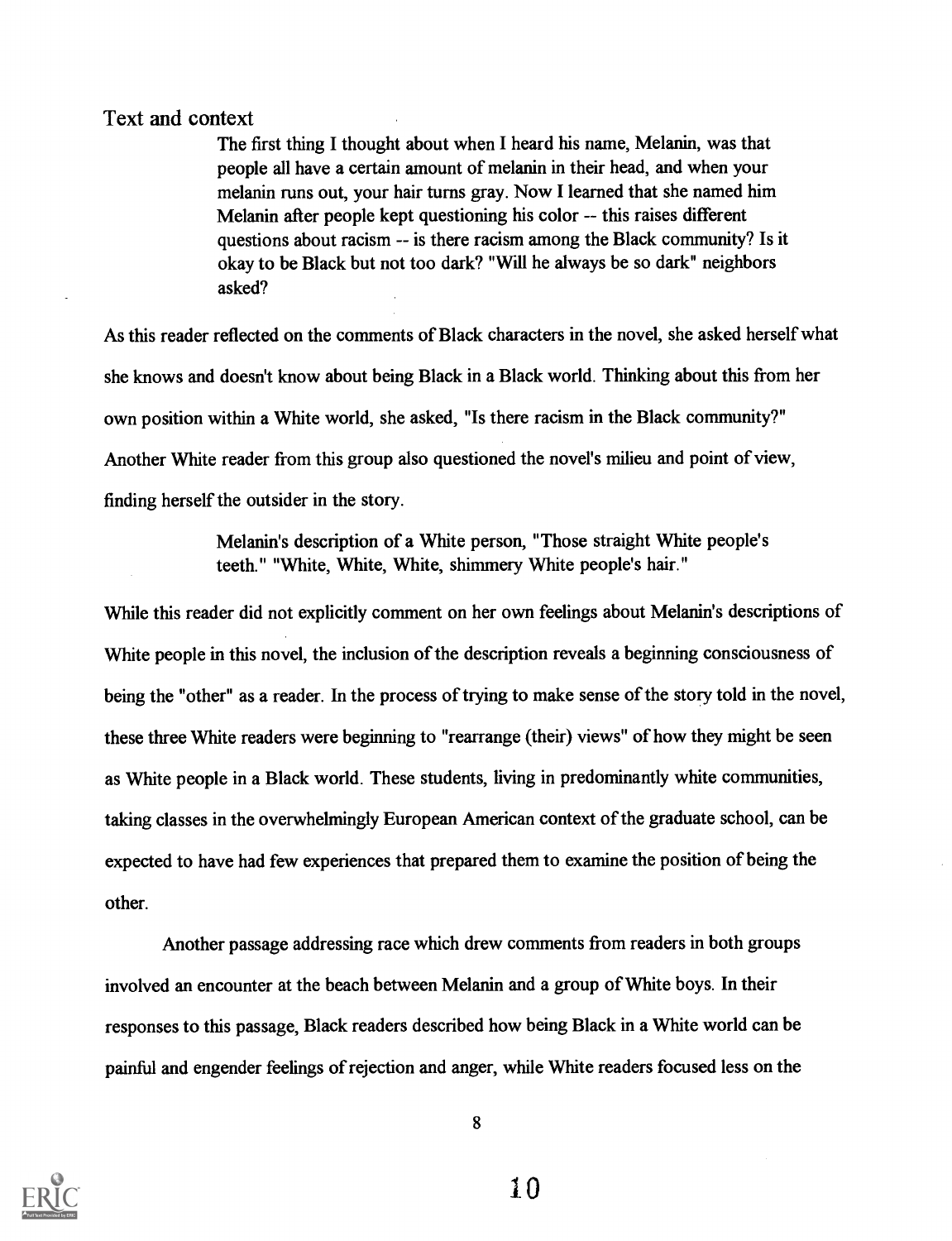The first thing I thought about when I heard his name, Melanin, was that people all have a certain amount of melanin in their head, and when your melanin runs out, your hair turns gray. Now I learned that she named him Melanin after people kept questioning his color -- this raises different questions about racism -- is there racism among the Black community? Is it okay to be Black but not too dark? "Will he always be so dark" neighbors asked?

As this reader reflected on the comments of Black characters in the novel, she asked herself what she knows and doesn't know about being Black in a Black world. Thinking about this from her own position within a White world, she asked, "Is there racism in the Black community?" Another White reader from this group also questioned the novel's milieu and point of view, finding herself the outsider in the story.

> Melanin's description of a White person, "Those straight White people's teeth." "White, White, White, shimmery White people's hair."

While this reader did not explicitly comment on her own feelings about Melanin's descriptions of White people in this novel, the inclusion of the description reveals a beginning consciousness of being the "other" as a reader. In the process of trying to make sense of the story told in the novel, these three White readers were beginning to "rearrange (their) views" of how they might be seen as White people in a Black world. These students, living in predominantly white communities, taking classes in the overwhelmingly European American context of the graduate school, can be expected to have had few experiences that prepared them to examine the position of being the other.

Another passage addressing race which drew comments from readers in both groups involved an encounter at the beach between Melanin and a group of White boys. In their responses to this passage, Black readers described how being Black in a White world can be painful and engender feelings of rejection and anger, while White readers focused less on the

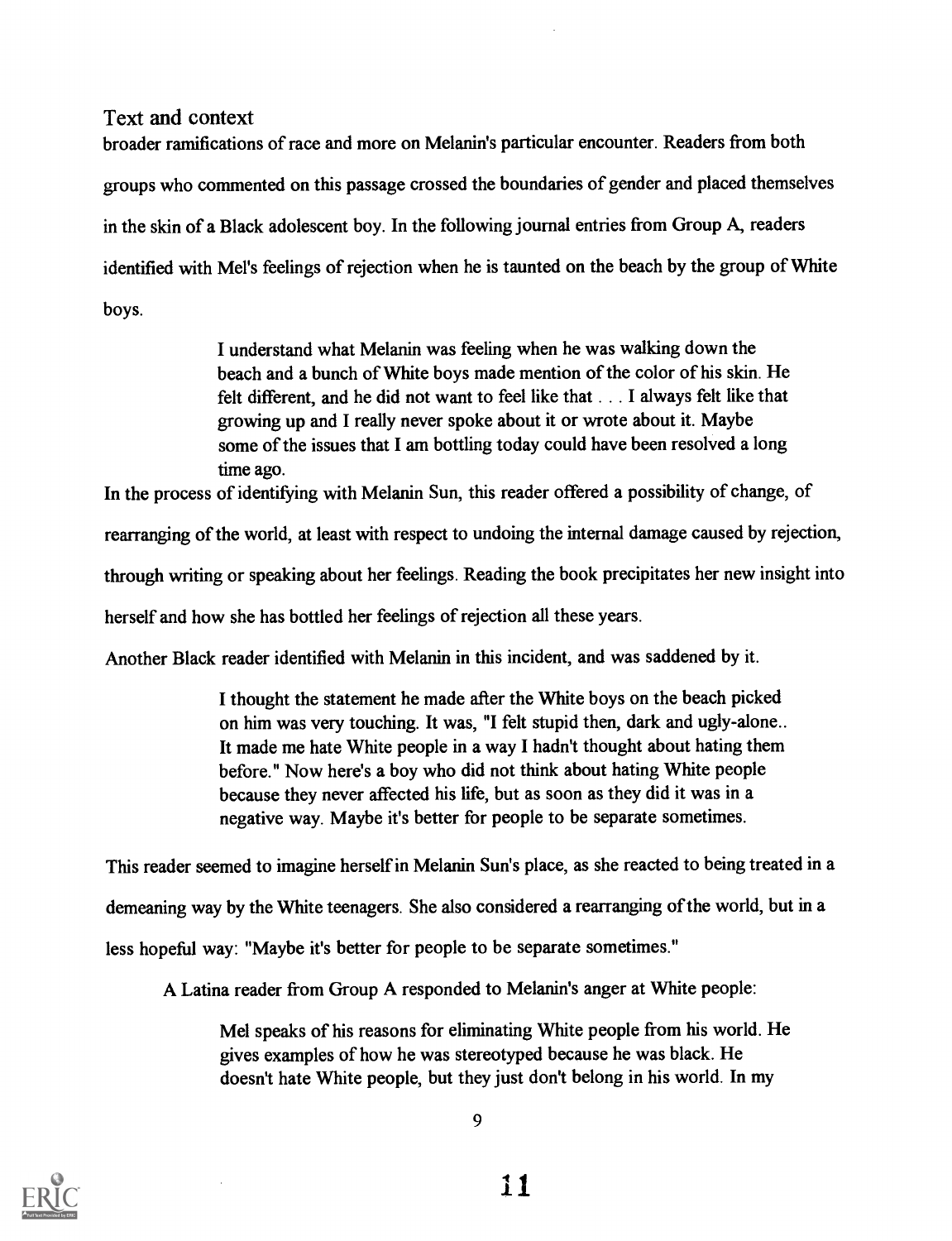broader ramifications of race and more on Melanin's particular encounter. Readers from both groups who commented on this passage crossed the boundaries of gender and placed themselves in the skin of a Black adolescent boy. In the following journal entries from Group A, readers identified with Mel's feelings of rejection when he is taunted on the beach by the group of White boys.

> I understand what Melanin was feeling when he was walking down the beach and a bunch of White boys made mention of the color of his skin. He felt different, and he did not want to feel like that . . . I always felt like that growing up and I really never spoke about it or wrote about it. Maybe some of the issues that I am bottling today could have been resolved a long time ago.

In the process of identifying with Melanin Sun, this reader offered a possibility of change, of rearranging of the world, at least with respect to undoing the internal damage caused by rejection, through writing or speaking about her feelings. Reading the book precipitates her new insight into herself and how she has bottled her feelings of rejection all these years.

Another Black reader identified with Melanin in this incident, and was saddened by it.

I thought the statement he made after the White boys on the beach picked on him was very touching. It was, "I felt stupid then, dark and ugly-alone.. It made me hate White people in a way I hadn't thought about hating them before." Now here's a boy who did not think about hating White people because they never affected his life, but as soon as they did it was in a negative way. Maybe it's better for people to be separate sometimes.

This reader seemed to imagine herself in Melanin Sun's place, as she reacted to being treated in a demeaning way by the White teenagers. She also considered a rearranging of the world, but in a less hopeful way: "Maybe it's better for people to be separate sometimes."

A Latina reader from Group A responded to Melanin's anger at White people:

Mel speaks of his reasons for eliminating White people from his world. He gives examples of how he was stereotyped because he was black. He doesn't hate White people, but they just don't belong in his world. In my

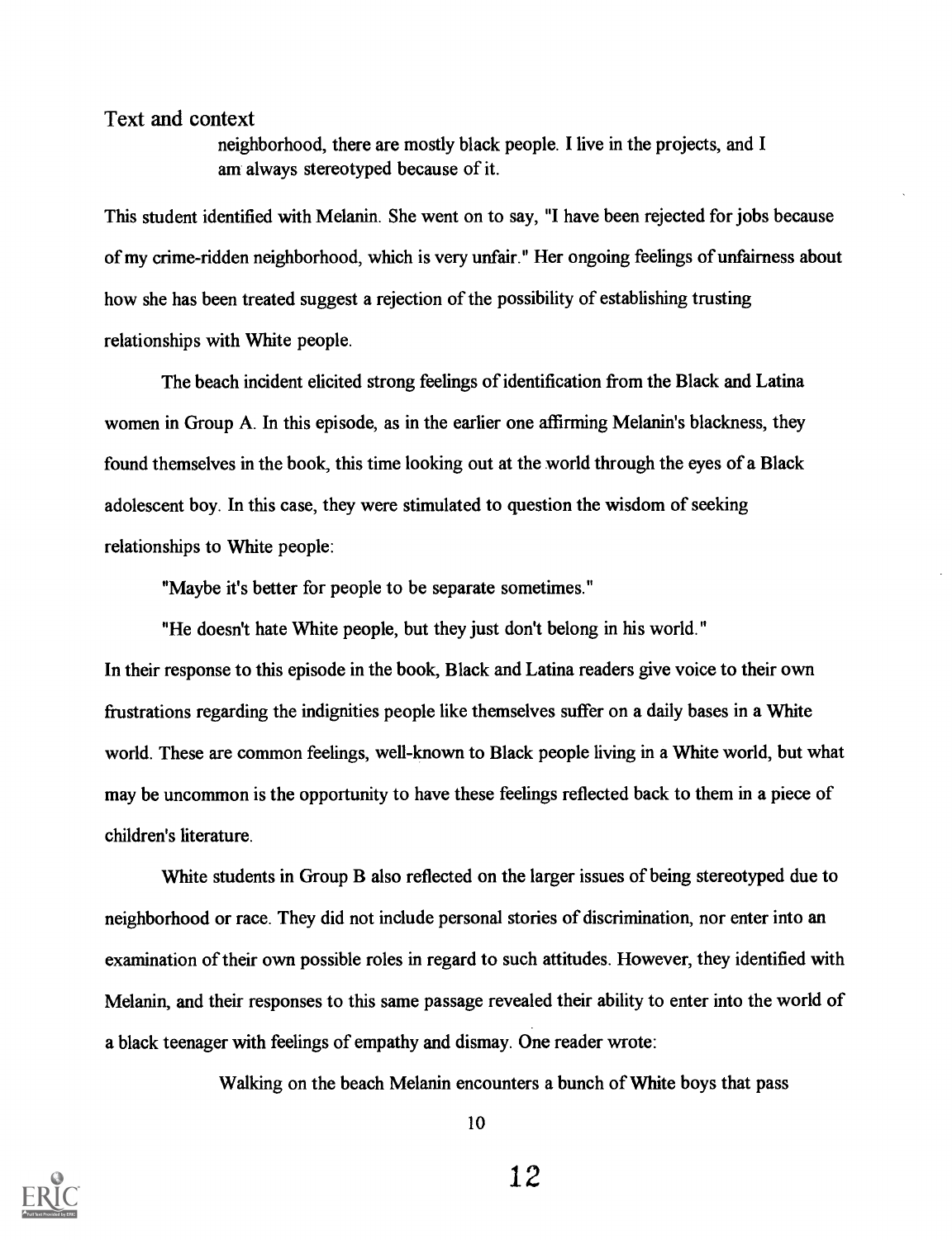neighborhood, there are mostly black people. I live in the projects, and I am always stereotyped because of it.

This student identified with Melanin. She went on to say, "I have been rejected for jobs because of my crime-ridden neighborhood, which is very unfair." Her ongoing feelings of unfairness about how she has been treated suggest a rejection of the possibility of establishing trusting relationships with White people.

The beach incident elicited strong feelings of identification from the Black and Latina women in Group A. In this episode, as in the earlier one affirming Melanin's blackness, they found themselves in the book, this time looking out at the world through the eyes of a Black adolescent boy. In this case, they were stimulated to question the wisdom of seeking relationships to White people:

"Maybe it's better for people to be separate sometimes."

"He doesn't hate White people, but they just don't belong in his world." In their response to this episode in the book, Black and Latina readers give voice to their own frustrations regarding the indignities people like themselves suffer on a daily bases in a White world. These are common feelings, well-known to Black people living in a White world, but what may be uncommon is the opportunity to have these feelings reflected back to them in a piece of children's literature.

White students in Group B also reflected on the larger issues of being stereotyped due to neighborhood or race. They did not include personal stories of discrimination, nor enter into an examination of their own possible roles in regard to such attitudes. However, they identified with Melanin, and their responses to this same passage revealed their ability to enter into the world of a black teenager with feelings of empathy and dismay. One reader wrote:

Walking on the beach Melanin encounters a bunch of White boys that pass

10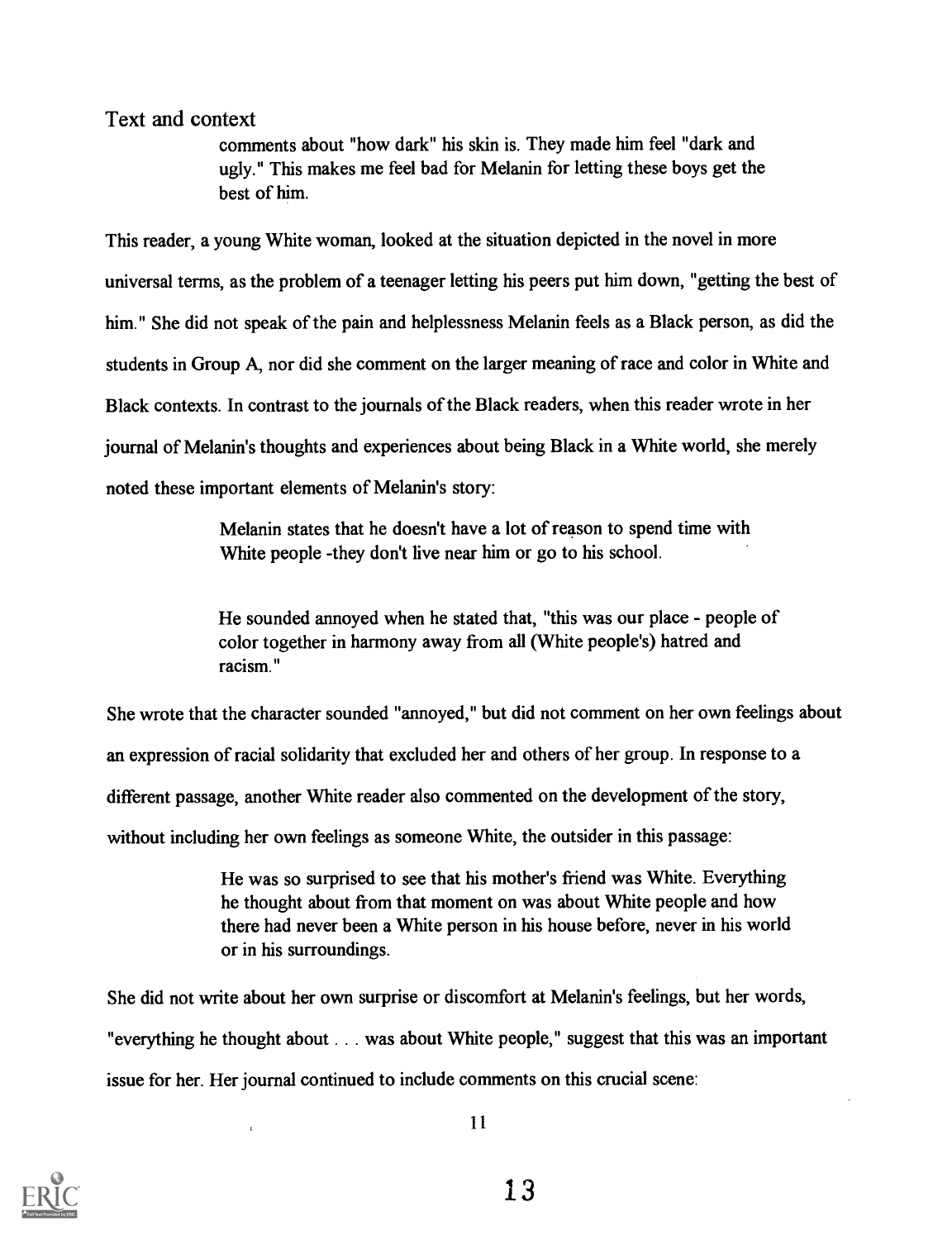comments about "how dark" his skin is. They made him feel "dark and ugly." This makes me feel bad for Melanin for letting these boys get the best of him.

This reader, a young White woman, looked at the situation depicted in the novel in more universal terms, as the problem of a teenager letting his peers put him down, "getting the best of him." She did not speak of the pain and helplessness Melanin feels as a Black person, as did the students in Group A, nor did she comment on the larger meaning of race and color in White and Black contexts. In contrast to the journals of the Black readers, when this reader wrote in her journal of Melanin's thoughts and experiences about being Black in a White world, she merely noted these important elements of Melanin's story:

> Melanin states that he doesn't have a lot of reason to spend time with White people -they don't live near him or go to his school.

He sounded annoyed when he stated that, "this was our place - people of color together in harmony away from all (White people's) hatred and racism."

She wrote that the character sounded "annoyed," but did not comment on her own feelings about an expression of racial solidarity that excluded her and others of her group. In response to a different passage, another White reader also commented on the development of the story, without including her own feelings as someone White, the outsider in this passage:

> He was so surprised to see that his mother's friend was White. Everything he thought about from that moment on was about White people and how there had never been a White person in his house before, never in his world or in his surroundings.

She did not write about her own surprise or discomfort at Melanin's feelings, but her words, "everything he thought about . . . was about White people," suggest that this was an important issue for her. Her journal continued to include comments on this crucial scene:

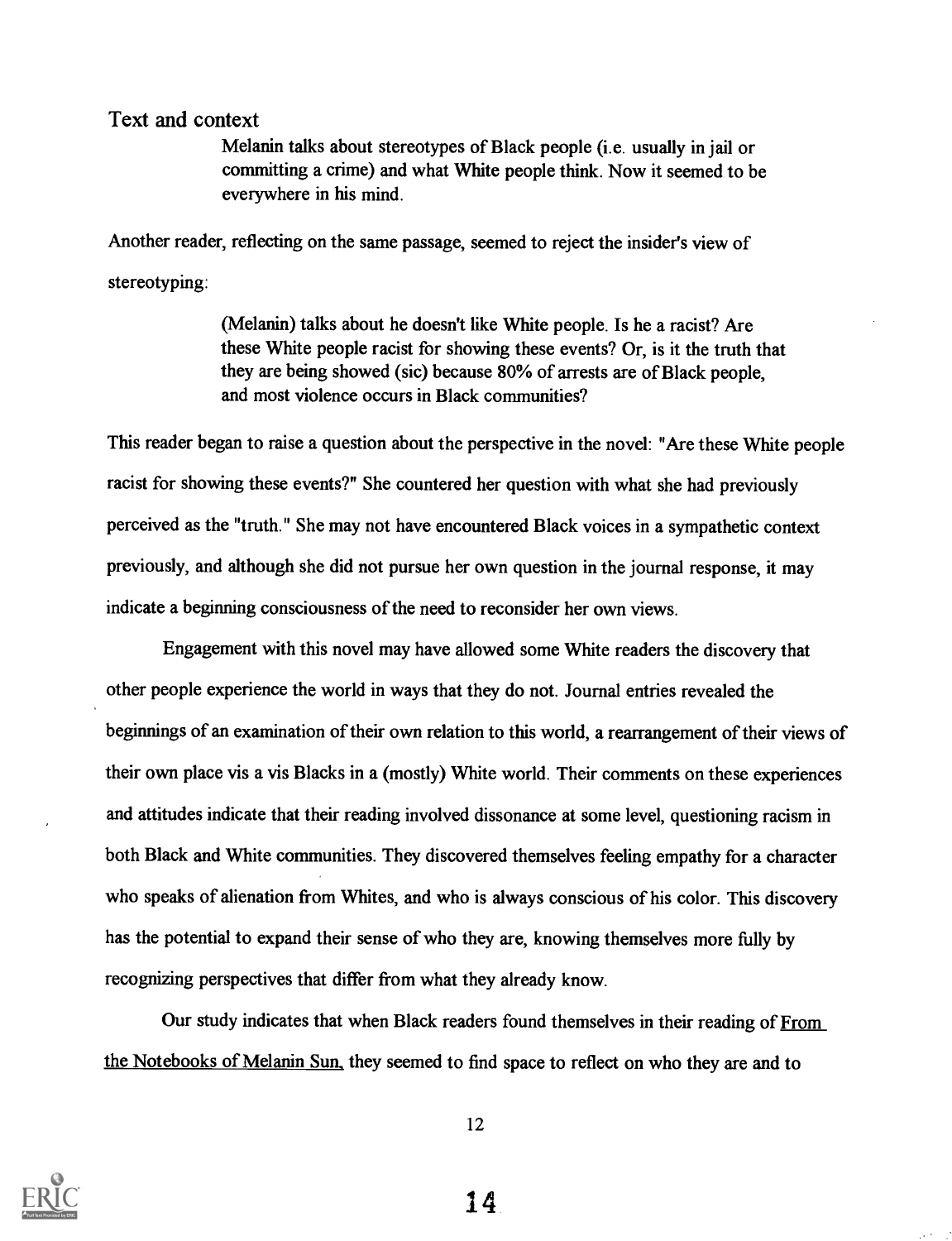Melanin talks about stereotypes of Black people (i.e. usually in jail or committing a crime) and what White people think. Now it seemed to be everywhere in his mind.

Another reader, reflecting on the same passage, seemed to reject the insider's view of stereotyping:

> (Melanin) talks about he doesn't like White people. Is he a racist? Are these White people racist for showing these events? Or, is it the truth that they are being showed (sic) because 80% of arrests are of Black people, and most violence occurs in Black communities?

This reader began to raise a question about the perspective in the novel: "Are these White people racist for showing these events?" She countered her question with what she had previously perceived as the "truth." She may not have encountered Black voices in a sympathetic context previously, and although she did not pursue her own question in the journal response, it may indicate a beginning consciousness of the need to reconsider her own views.

Engagement with this novel may have allowed some White readers the discovery that other people experience the world in ways that they do not. Journal entries revealed the beginnings of an examination of their own relation to this world, a rearrangement of their views of their own place vis a vis Blacks in a (mostly) White world. Their comments on these experiences and attitudes indicate that their reading involved dissonance at some level, questioning racism in both Black and White communities. They discovered themselves feeling empathy for a character who speaks of alienation from Whites, and who is always conscious of his color. This discovery has the potential to expand their sense of who they are, knowing themselves more fully by recognizing perspectives that differ from what they already know.

Our study indicates that when Black readers found themselves in their reading of From the Notebooks of Melanin Sun, they seemed to find space to reflect on who they are and to



12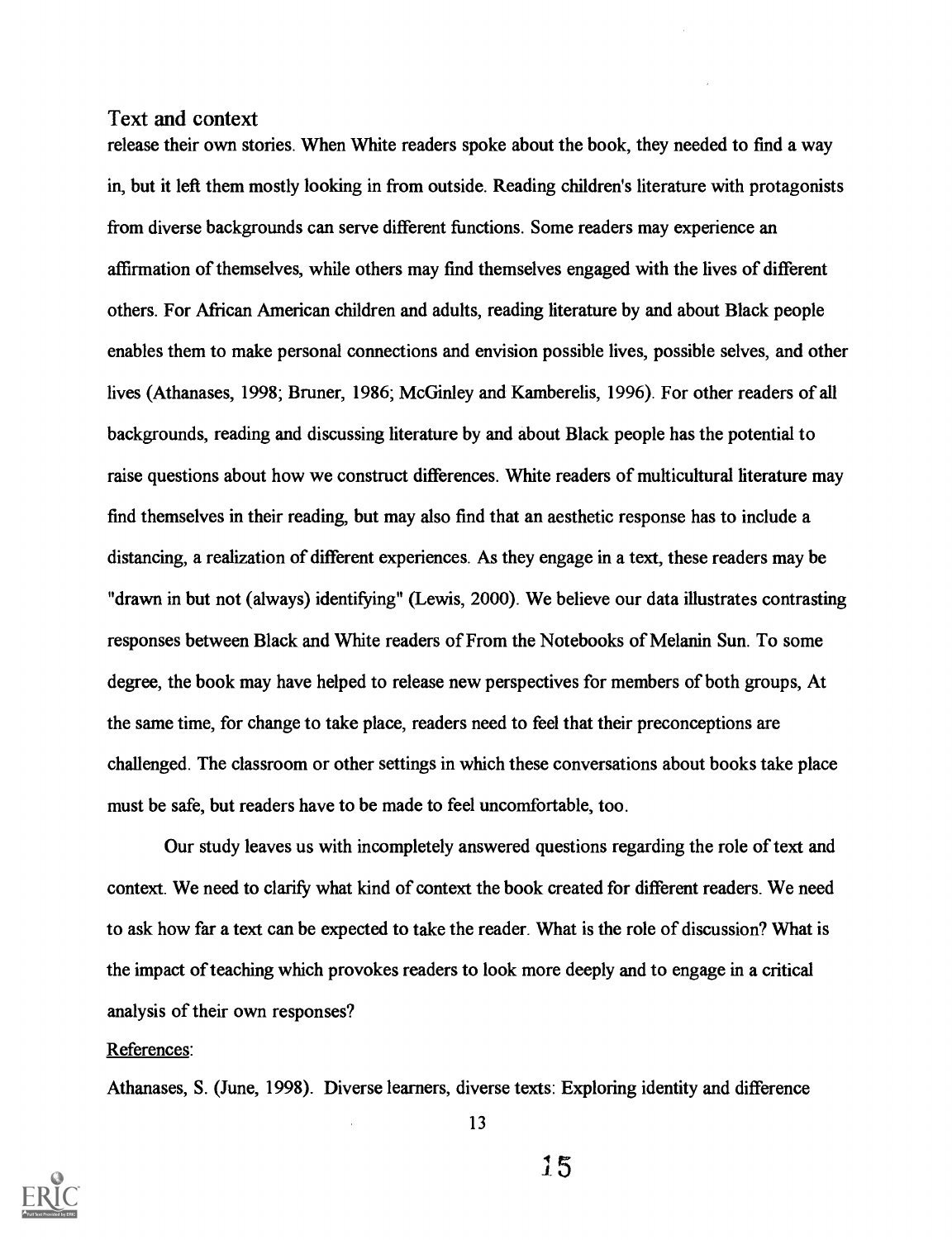release their own stories. When White readers spoke about the book, they needed to find a way in, but it left them mostly looking in from outside. Reading children's literature with protagonists from diverse backgrounds can serve different functions. Some readers may experience an affirmation of themselves, while others may find themselves engaged with the lives of different others. For African American children and adults, reading literature by and about Black people enables them to make personal connections and envision possible lives, possible selves, and other lives (Athanases, 1998; Bruner, 1986; McGinley and Kamberelis, 1996). For other readers of all backgrounds, reading and discussing literature by and about Black people has the potential to raise questions about how we construct differences. White readers of multicultural literature may find themselves in their reading, but may also find that an aesthetic response has to include a distancing, a realization of different experiences. As they engage in a text, these readers may be "drawn in but not (always) identifying" (Lewis, 2000). We believe our data illustrates contrasting responses between Black and White readers of From the Notebooks of Melanin Sun. To some degree, the book may have helped to release new perspectives for members of both groups, At the same time, for change to take place, readers need to feel that their preconceptions are challenged. The classroom or other settings in which these conversations about books take place must be safe, but readers have to be made to feel uncomfortable, too.

Our study leaves us with incompletely answered questions regarding the role of text and context. We need to clarify what kind of context the book created for different readers. We need to ask how far a text can be expected to take the reader. What is the role of discussion? What is the impact of teaching which provokes readers to look more deeply and to engage in a critical analysis of their own responses?

#### References:

Athanases, S. (June, 1998). Diverse learners, diverse texts: Exploring identity and difference

13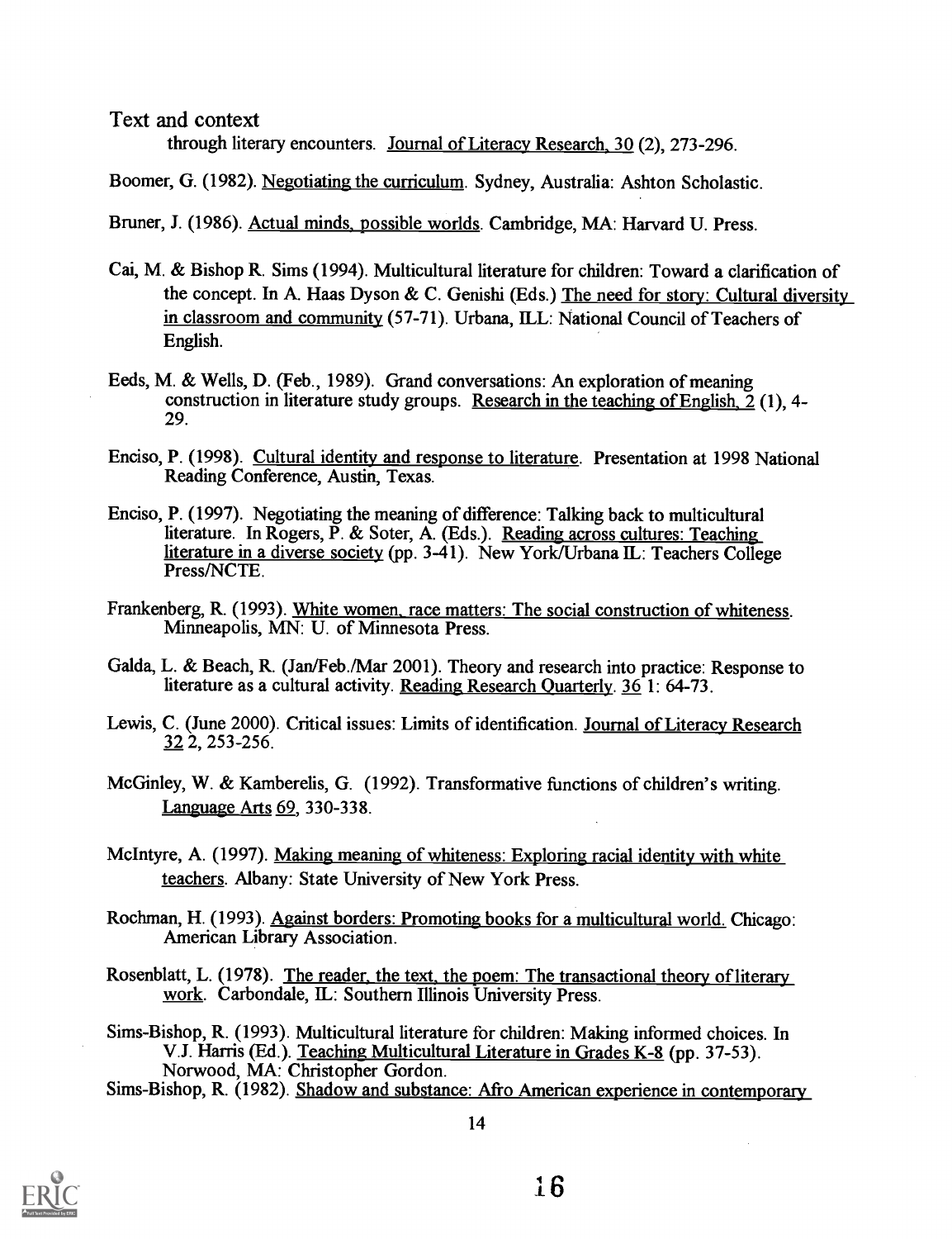through literary encounters. Journal of Literacy Research, 30 (2), 273-296.

Boomer, G. (1982). Negotiating the curriculum. Sydney, Australia: Ashton Scholastic.

Bruner, J. (1986). Actual minds, possible worlds. Cambridge, MA: Harvard U. Press.

- Cai, M. & Bishop R. Sims (1994). Multicultural literature for children: Toward a clarification of the concept. In A. Haas Dyson & C. Genishi (Eds.) The need for story: Cultural diversity in classroom and community (57-71). Urbana, ILL: National Council of Teachers of English.
- Eeds, M. & Wells, D. (Feb., 1989). Grand conversations: An exploration of meaning construction in literature study groups. Research in the teaching of English,  $\tilde{2}$  (1), 4-29.
- Enciso, P. (1998). Cultural identity and response to literature. Presentation at 1998 National Reading Conference, Austin, Texas.
- Enciso, P. (1997). Negotiating the meaning of difference: Talking back to multicultural literature. In Rogers, P. & Soter, A. (Eds.). Reading across cultures: Teaching literature in a diverse society (pp. 3-41). New York/Urbana IL: Teachers College Press/NCTE.
- Frankenberg, R. (1993). White women, race matters: The social construction of whiteness. Minneapolis, MN: U. of Minnesota Press.
- Galda, L. & Beach, R. (Jan/Feb./Mar 2001). Theory and research into practice: Response to literature as a cultural activity. Reading Research Quarterly. 36 1: 64-73.
- Lewis, C. (June 2000). Critical issues: Limits of identification. Journal of Literacy Research 32 2, 253-256.
- McGinley, W. & Kamberelis, G. (1992). Transformative functions of children's writing. Language Arts 69, 330-338.
- McIntyre, A. (1997). Making meaning of whiteness: Exploring racial identity with white teachers. Albany: State University of New York Press.
- Rochman, H. (1993). Against borders: Promoting books for a multicultural world. Chicago: American Library Association.
- Rosenblatt, L. (1978). The reader, the text, the poem: The transactional theory of literary work. Carbondale, IL: Southern Illinois University Press.
- Sims-Bishop, R. (1993). Multicultural literature for children: Making informed choices. In V.J. Harris (Ed.). Teaching Multicultural Literature in Grades K-8 (pp. 37-53). Norwood, MA: Christopher Gordon.

Sims-Bishop, R. (1982). Shadow and substance: Afro American experience in contemporary

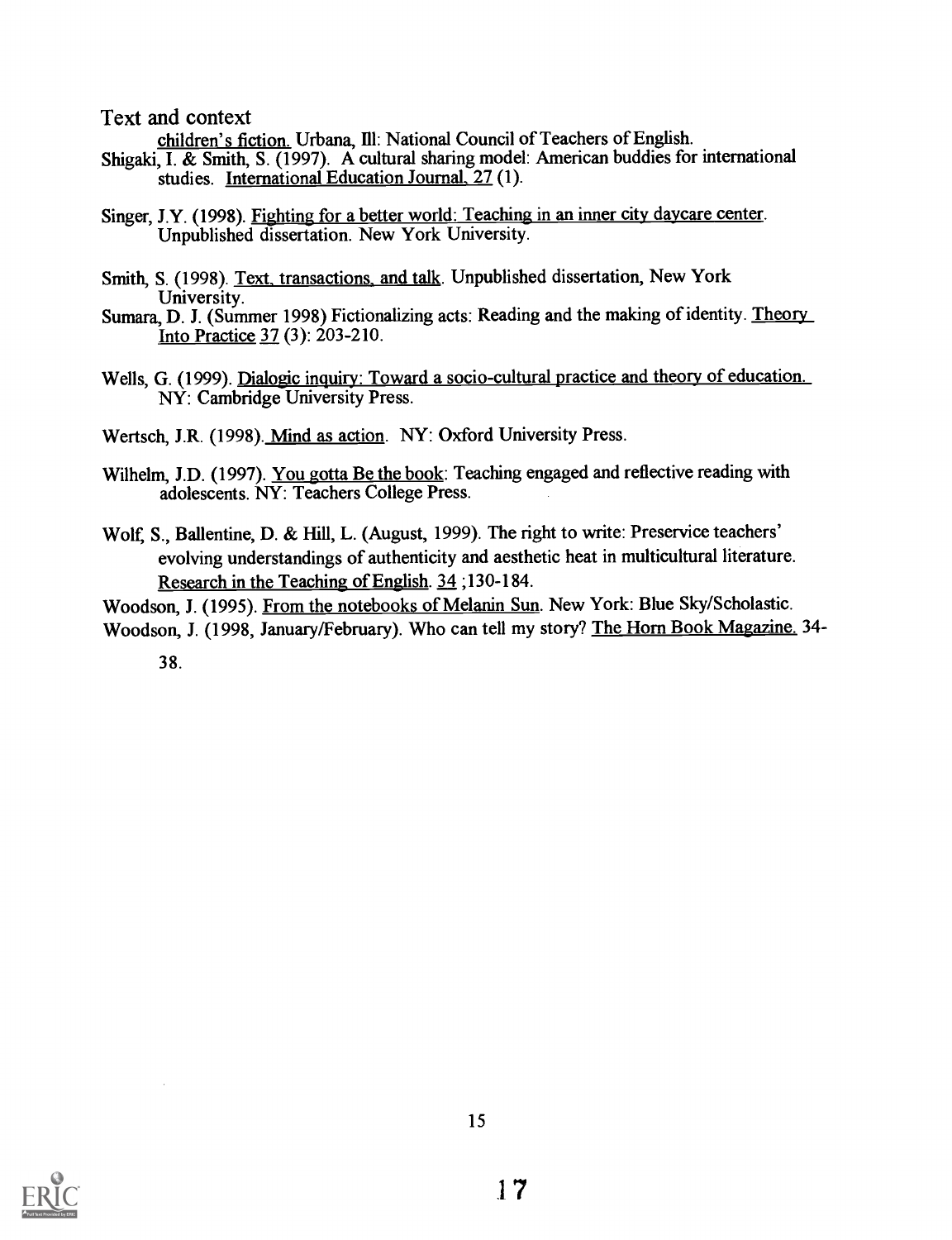children's fiction. Urbana, Ill: National Council of Teachers of English.

- Shigaki, I. & Smith, S. (1997). A cultural sharing model: American buddies for international studies. International Education Journal, 27 (1).
- Singer, J.Y. (1998). Fighting for a better world: Teaching in an inner city daycare center. Unpublished dissertation. New York University.
- Smith, S. (1998). Text, transactions, and talk. Unpublished dissertation, New York<br>University.
- Sumara, D. J. (Summer 1998) Fictionalizing acts: Reading and the making of identity. Theory Into Practice 37 (3): 203-210.
- Wells, G. (1999). Dialogic inquiry: Toward a socio-cultural practice and theory of education. NY: Cambridge University Press.

Wertsch, J.R. (1998). Mind as action. NY: Oxford University Press.

- Wilhelm, J.D. (1997). You gotta Be the book: Teaching engaged and reflective reading with adolescents. NY: Teachers College Press.
- Wolf, S., Ballentine, D. & Hill, L. (August, 1999). The right to write: Preservice teachers' evolving understandings of authenticity and aesthetic heat in multicultural literature. Research in the Teaching of English. 34 ;130-184.

Woodson, J. (1995). From the notebooks of Melanin Sun. New York: Blue Sky/Scholastic. Woodson, J. (1998, January/February). Who can tell my story? The Horn Book Magazine. 34-

38.

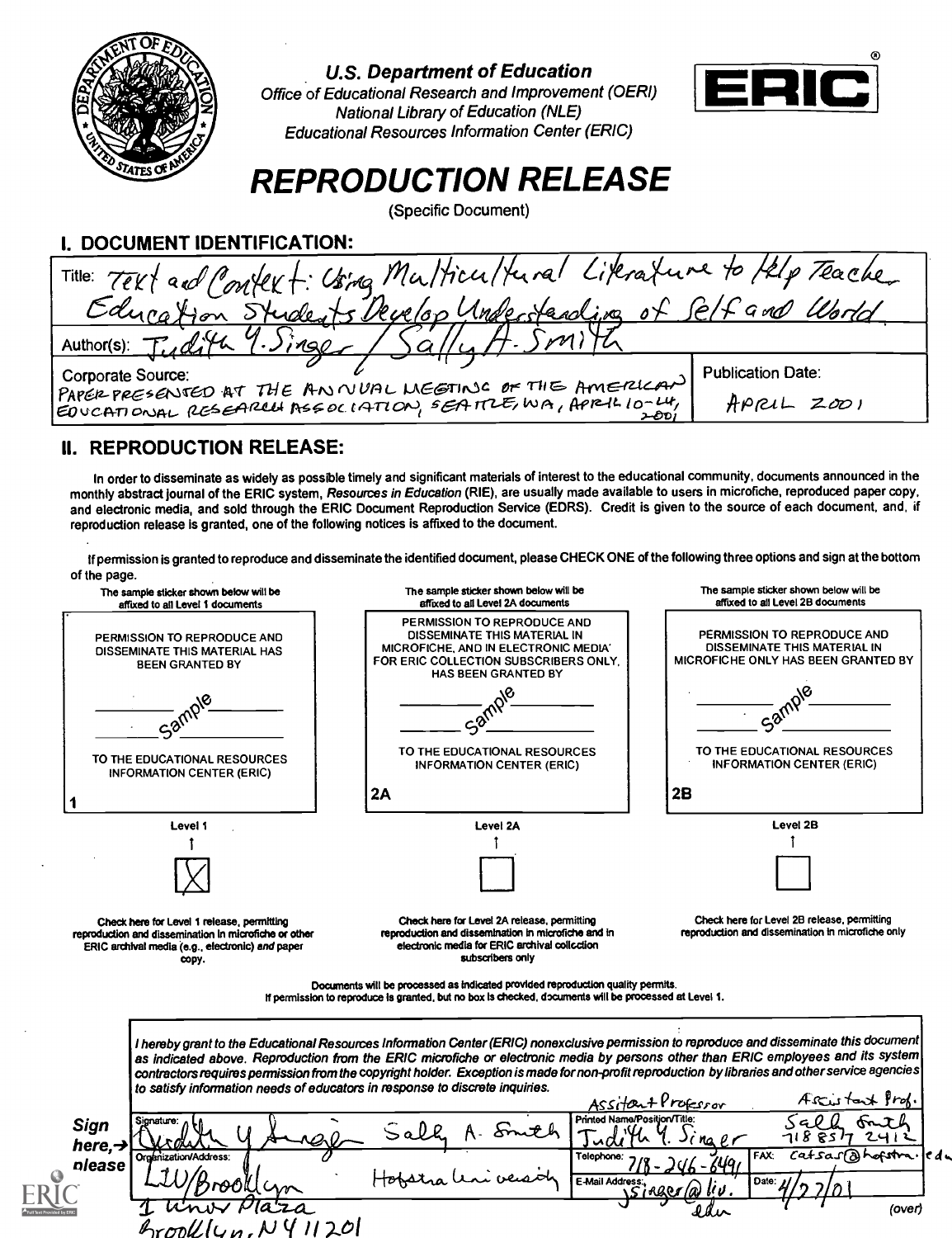

U.S. Department of Education



Office of Educational Research and Improvement (OERI) National Library of Education (NLE) Educational Resources Information Center (ERIC)

# REPRODUCTION RELEASE

(Specific Document)

| Title: Text and Context: Using Multicultural Literature to Felp Teacher<br>Develop Underfanding<br>Educar<br>Author(s):<br><b>Publication Date:</b><br>Corporate Source:<br>PAPER PRESENTED AT THE ANNUAL MEETING OF THE AMERICAN<br>$APRLL$ 2001 | DOCUMENT IDENTIFICATION:                                    |
|---------------------------------------------------------------------------------------------------------------------------------------------------------------------------------------------------------------------------------------------------|-------------------------------------------------------------|
|                                                                                                                                                                                                                                                   |                                                             |
|                                                                                                                                                                                                                                                   |                                                             |
|                                                                                                                                                                                                                                                   |                                                             |
|                                                                                                                                                                                                                                                   |                                                             |
|                                                                                                                                                                                                                                                   | EDUCATIONAL RESEARCH ASSOCIATION, SEATTLE, WA, APRIL 10-LH, |

## II. REPRODUCTION RELEASE:

In order to disseminate as widely as possible timely and significant materials of interest to the educational community, documents announced in the monthly abstract journal of the ERIC system, Resources in Education (RIE), are usually made available to users in microfiche, reproduced paper copy, and electronic media, and sold through the ERIC Document Reproduction Service (EDRS). Credit is given to the source of each document, and, if reproduction release is granted, one of the following notices is affixed to the document.

If permission is granted to reproduce and disseminate the identified document, please CHECK ONE of the following three options and sign at the bottom of the page.

| The sample sticker shown below will be<br>affixed to all Level 1 documents                                                                              | The sample sticker shown below will be<br>affixed to all Level 2A documents                                                                                                                                                                                                                                                                                                                                                        | The sample sticker shown below will be<br>affixed to all Level 2B documents                        |
|---------------------------------------------------------------------------------------------------------------------------------------------------------|------------------------------------------------------------------------------------------------------------------------------------------------------------------------------------------------------------------------------------------------------------------------------------------------------------------------------------------------------------------------------------------------------------------------------------|----------------------------------------------------------------------------------------------------|
| PERMISSION TO REPRODUCE AND<br>DISSEMINATE THIS MATERIAL HAS<br><b>BEEN GRANTED BY</b>                                                                  | PERMISSION TO REPRODUCE AND<br>DISSEMINATE THIS MATERIAL IN<br>MICROFICHE, AND IN ELECTRONIC MEDIA'<br>FOR ERIC COLLECTION SUBSCRIBERS ONLY.<br><b>HAS BEEN GRANTED BY</b>                                                                                                                                                                                                                                                         | PÉRMISSION TO REPRODUCE AND<br>DISSEMINATE THIS MATERIAL IN<br>MICROFICHE ONLY HAS BEEN GRANTED BY |
|                                                                                                                                                         |                                                                                                                                                                                                                                                                                                                                                                                                                                    |                                                                                                    |
| TO THE EDUCATIONAL RESOURCES<br>INFORMATION CENTER (ERIC)                                                                                               | TO THE EDUCATIONAL RESOURCES<br><b>INFORMATION CENTER (ERIC)</b>                                                                                                                                                                                                                                                                                                                                                                   | TO THE EDUCATIONAL RESOURCES<br><b>INFORMATION CENTER (ERIC)</b>                                   |
|                                                                                                                                                         | 2A                                                                                                                                                                                                                                                                                                                                                                                                                                 | 2B                                                                                                 |
| Level 1                                                                                                                                                 | Level 2A                                                                                                                                                                                                                                                                                                                                                                                                                           | Level 2B                                                                                           |
|                                                                                                                                                         |                                                                                                                                                                                                                                                                                                                                                                                                                                    |                                                                                                    |
|                                                                                                                                                         |                                                                                                                                                                                                                                                                                                                                                                                                                                    |                                                                                                    |
|                                                                                                                                                         |                                                                                                                                                                                                                                                                                                                                                                                                                                    |                                                                                                    |
| Check here for Level 1 release, permitting<br>reproduction and dissemination in microfiche or other<br>ERIC archival media (e.g., electronic) and paper | Check here for Level 2A release, permitting<br>reproduction and dissemination in microfiche and in<br>electronic media for ERIC archival collection                                                                                                                                                                                                                                                                                | Check here for Level 2B release, permitting<br>reproduction and dissemination in microfiche only   |
| copy.                                                                                                                                                   | subscribers only                                                                                                                                                                                                                                                                                                                                                                                                                   |                                                                                                    |
|                                                                                                                                                         | Documents will be processed as indicated provided reproduction quality permits.<br>If permission to reproduce is granted, but no box is checked, documents will be processed at Level 1.                                                                                                                                                                                                                                           |                                                                                                    |
|                                                                                                                                                         | I hereby grant to the Educational Resources Information Center (ERIC) nonexclusive permission to reproduce and disseminate this document <br>as indicated above. Reproduction from the ERIC microfiche or electronic media by persons other than ERIC employees and its system<br>contractors requires permission from the copyright holder. Exception is made for non-profit reproduction by libraries and other service agencies |                                                                                                    |
|                                                                                                                                                         | to satisfy information needs of educators in response to discrete inquiries.                                                                                                                                                                                                                                                                                                                                                       | Arcustant Prof.                                                                                    |
|                                                                                                                                                         | Printed Na                                                                                                                                                                                                                                                                                                                                                                                                                         | RS17<br>าเ8                                                                                        |
| Sign<br>here, $\rightarrow$<br>Orobr<br>please                                                                                                          | Telephone:<br><b>E-Mail Address</b>                                                                                                                                                                                                                                                                                                                                                                                                | catsas @hofstra. edu<br>FAX:<br>Date:                                                              |
|                                                                                                                                                         |                                                                                                                                                                                                                                                                                                                                                                                                                                    | (over)                                                                                             |